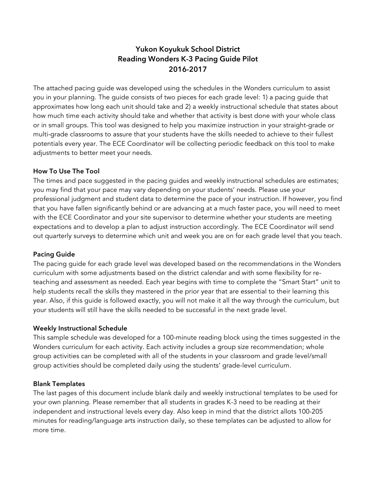## **Yukon Koyukuk School District Reading Wonders K-3 Pacing Guide Pilot 2016-2017**

The attached pacing guide was developed using the schedules in the Wonders curriculum to assist you in your planning. The guide consists of two pieces for each grade level: 1) a pacing guide that approximates how long each unit should take and 2) a weekly instructional schedule that states about how much time each activity should take and whether that activity is best done with your whole class or in small groups. This tool was designed to help you maximize instruction in your straight-grade or multi-grade classrooms to assure that your students have the skills needed to achieve to their fullest potentials every year. The ECE Coordinator will be collecting periodic feedback on this tool to make adjustments to better meet your needs.

#### **How To Use The Tool**

The times and pace suggested in the pacing guides and weekly instructional schedules are estimates; you may find that your pace may vary depending on your students' needs. Please use your professional judgment and student data to determine the pace of your instruction. If however, you find that you have fallen significantly behind or are advancing at a much faster pace, you will need to meet with the ECE Coordinator and your site supervisor to determine whether your students are meeting expectations and to develop a plan to adjust instruction accordingly. The ECE Coordinator will send out quarterly surveys to determine which unit and week you are on for each grade level that you teach.

#### **Pacing Guide**

The pacing guide for each grade level was developed based on the recommendations in the Wonders curriculum with some adjustments based on the district calendar and with some flexibility for reteaching and assessment as needed. Each year begins with time to complete the "Smart Start" unit to help students recall the skills they mastered in the prior year that are essential to their learning this year. Also, if this guide is followed exactly, you will not make it all the way through the curriculum, but your students will still have the skills needed to be successful in the next grade level.

#### **Weekly Instructional Schedule**

This sample schedule was developed for a 100-minute reading block using the times suggested in the Wonders curriculum for each activity. Each activity includes a group size recommendation; whole group activities can be completed with all of the students in your classroom and grade level/small group activities should be completed daily using the students' grade-level curriculum.

#### **Blank Templates**

The last pages of this document include blank daily and weekly instructional templates to be used for your own planning. Please remember that all students in grades K-3 need to be reading at their independent and instructional levels every day. Also keep in mind that the district allots 100-205 minutes for reading/language arts instruction daily, so these templates can be adjusted to allow for more time.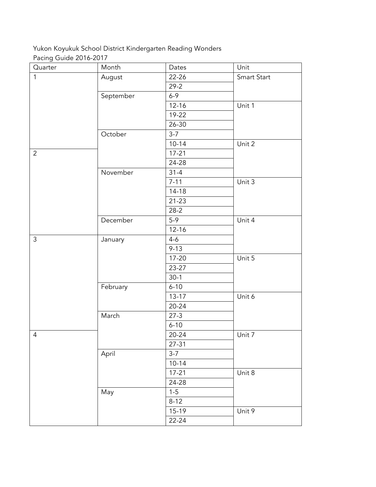## Yukon Koyukuk School District Kindergarten Reading Wonders Pacing Guide 2016-2017

| Quarter        | Month     | Dates     | Unit        |
|----------------|-----------|-----------|-------------|
| $\mathbf{1}$   | August    | $22 - 26$ | Smart Start |
|                |           | $29 - 2$  |             |
|                | September | $6 - 9$   |             |
|                |           | $12 - 16$ | Unit 1      |
|                |           | 19-22     |             |
|                |           | 26-30     |             |
|                | October   | $3 - 7$   |             |
|                |           | $10 - 14$ | Unit 2      |
| $\overline{2}$ |           | $17 - 21$ |             |
|                |           | 24-28     |             |
|                | November  | $31 - 4$  |             |
|                |           | $7 - 11$  | Unit 3      |
|                |           | $14-18$   |             |
|                |           | $21 - 23$ |             |
|                |           | $28-2$    |             |
|                | December  | $5-9$     | Unit 4      |
|                |           | $12 - 16$ |             |
| $\mathfrak{Z}$ | January   | $4 - 6$   |             |
|                |           | $9 - 13$  |             |
|                |           | $17 - 20$ | Unit 5      |
|                |           | 23-27     |             |
|                |           | $30-1$    |             |
|                | February  | $6 - 10$  |             |
|                |           | $13 - 17$ | Unit 6      |
|                |           | $20 - 24$ |             |
|                | March     | $27-3$    |             |
|                |           | $6 - 10$  |             |
| $\overline{4}$ |           | $20 - 24$ | Unit 7      |
|                |           | $27 - 31$ |             |
|                | April     | $3-7$     |             |
|                |           | $10 - 14$ |             |
|                |           | $17 - 21$ | Unit 8      |
|                |           | 24-28     |             |
|                | May       | $1 - 5$   |             |
|                |           | $8 - 12$  |             |
|                |           | 15-19     | Unit 9      |
|                |           | 22-24     |             |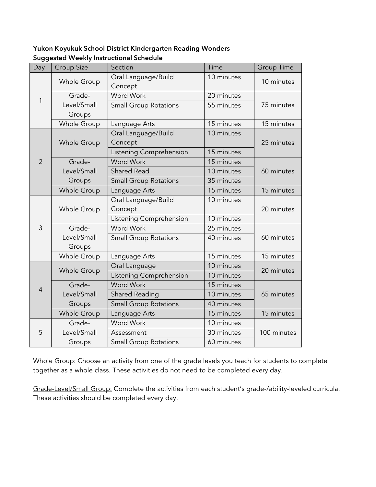#### **Yukon Koyukuk School District Kindergarten Reading Wonders Suggested Weekly Instructional Schedule**

| Day            | <b>Group Size</b>  | Section                      | Time       | <b>Group Time</b> |
|----------------|--------------------|------------------------------|------------|-------------------|
|                | Whole Group        | Oral Language/Build          | 10 minutes | 10 minutes        |
|                |                    | Concept                      |            |                   |
| 1              | Grade-             | <b>Word Work</b>             | 20 minutes |                   |
|                | Level/Small        | <b>Small Group Rotations</b> | 55 minutes | 75 minutes        |
|                | Groups             |                              |            |                   |
|                | <b>Whole Group</b> | Language Arts                | 15 minutes | 15 minutes        |
|                |                    | Oral Language/Build          | 10 minutes |                   |
|                | Whole Group        | Concept                      |            | 25 minutes        |
|                |                    | Listening Comprehension      | 15 minutes |                   |
| $\overline{2}$ | Grade-             | <b>Word Work</b>             | 15 minutes |                   |
|                | Level/Small        | <b>Shared Read</b>           | 10 minutes | 60 minutes        |
|                | Groups             | <b>Small Group Rotations</b> | 35 minutes |                   |
|                | Whole Group        | Language Arts                | 15 minutes | 15 minutes        |
|                | Whole Group        | Oral Language/Build          | 10 minutes |                   |
| 3              |                    | Concept                      |            | 20 minutes        |
|                |                    | Listening Comprehension      | 10 minutes |                   |
|                | Grade-             | <b>Word Work</b>             | 25 minutes |                   |
|                | Level/Small        | <b>Small Group Rotations</b> | 40 minutes | 60 minutes        |
|                | Groups             |                              |            |                   |
|                | <b>Whole Group</b> | Language Arts                | 15 minutes | 15 minutes        |
|                | Whole Group        | Oral Language                | 10 minutes | 20 minutes        |
|                |                    | Listening Comprehension      | 10 minutes |                   |
| $\overline{4}$ | Grade-             | <b>Word Work</b>             | 15 minutes |                   |
|                | Level/Small        | Shared Reading               | 10 minutes | 65 minutes        |
|                | Groups             | <b>Small Group Rotations</b> | 40 minutes |                   |
|                | Whole Group        | Language Arts                | 15 minutes | 15 minutes        |
|                | Grade-             | Word Work                    | 10 minutes |                   |
| 5              | Level/Small        | Assessment                   | 30 minutes | 100 minutes       |
|                | Groups             | <b>Small Group Rotations</b> | 60 minutes |                   |

Whole Group: Choose an activity from one of the grade levels you teach for students to complete together as a whole class. These activities do not need to be completed every day.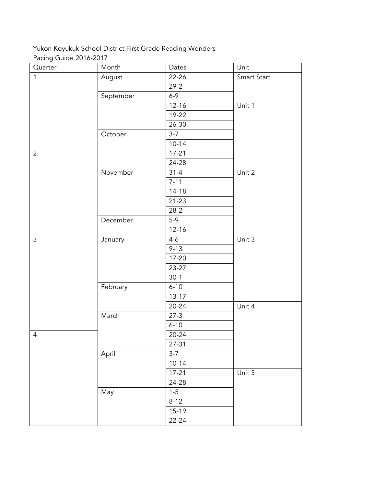## Yukon Koyukuk School District First Grade Reading Wonders Pacing Guide 2016-2017

| Quarter        | Month     | Dates     | Unit        |
|----------------|-----------|-----------|-------------|
| $\mathbf{1}$   | August    | 22-26     | Smart Start |
|                |           | $29 - 2$  |             |
|                | September | $6 - 9$   |             |
|                |           | $12 - 16$ | Unit 1      |
|                |           | 19-22     |             |
|                |           | 26-30     |             |
|                | October   | $3-7$     |             |
|                |           | $10 - 14$ |             |
| $\overline{2}$ |           | $17 - 21$ |             |
|                |           | 24-28     |             |
|                | November  | $31 - 4$  | Unit 2      |
|                |           | $7 - 11$  |             |
|                |           | $14 - 18$ |             |
|                |           | $21 - 23$ |             |
|                |           | $28-2$    |             |
|                | December  | $5-9$     |             |
|                |           | $12 - 16$ |             |
| $\mathfrak{Z}$ | January   | $4 - 6$   | Unit 3      |
|                |           | $9 - 13$  |             |
|                |           | $17 - 20$ |             |
|                |           | 23-27     |             |
|                |           | $30-1$    |             |
|                | February  | $6 - 10$  |             |
|                |           | $13 - 17$ |             |
|                |           | $20 - 24$ | Unit 4      |
|                | March     | $27-3$    |             |
|                |           | $6 - 10$  |             |
| $\overline{4}$ |           | $20 - 24$ |             |
|                |           | $27 - 31$ |             |
|                | April     | $3-7$     |             |
|                |           | $10 - 14$ |             |
|                |           | $17 - 21$ | Unit 5      |
|                |           | 24-28     |             |
|                | May       | $1 - 5$   |             |
|                |           | $8 - 12$  |             |
|                |           | 15-19     |             |
|                |           | 22-24     |             |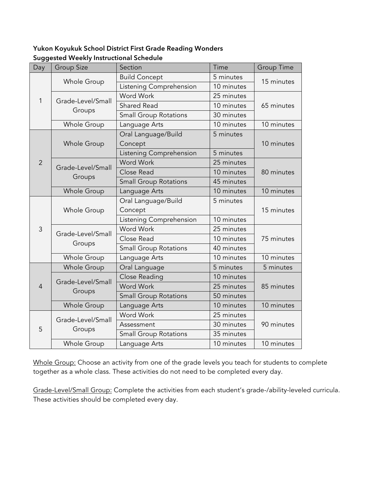### **Yukon Koyukuk School District First Grade Reading Wonders Suggested Weekly Instructional Schedule**

| Day            | <b>Group Size</b>  | Section                      | Time       | <b>Group Time</b> |  |
|----------------|--------------------|------------------------------|------------|-------------------|--|
|                |                    | <b>Build Concept</b>         | 5 minutes  | 15 minutes        |  |
|                | Whole Group        | Listening Comprehension      | 10 minutes |                   |  |
| 1              | Grade-Level/Small  | <b>Word Work</b>             | 25 minutes | 65 minutes        |  |
|                |                    | <b>Shared Read</b>           | 10 minutes |                   |  |
|                | Groups             | <b>Small Group Rotations</b> | 30 minutes |                   |  |
|                | Whole Group        | Language Arts                | 10 minutes | 10 minutes        |  |
|                |                    | Oral Language/Build          | 5 minutes  |                   |  |
|                | Whole Group        | Concept                      |            | 10 minutes        |  |
|                |                    | Listening Comprehension      | 5 minutes  |                   |  |
| $\overline{2}$ | Grade-Level/Small  | <b>Word Work</b>             | 25 minutes |                   |  |
|                |                    | Close Read                   | 10 minutes | 80 minutes        |  |
|                | Groups             | <b>Small Group Rotations</b> | 45 minutes |                   |  |
|                | <b>Whole Group</b> | Language Arts                | 10 minutes | 10 minutes        |  |
|                | Whole Group        | Oral Language/Build          | 5 minutes  | 15 minutes        |  |
|                |                    | Concept                      |            |                   |  |
|                |                    | Listening Comprehension      | 10 minutes |                   |  |
| 3              | Grade-Level/Small  | Word Work                    | 25 minutes |                   |  |
|                | Groups             | Close Read                   | 10 minutes | 75 minutes        |  |
|                |                    | <b>Small Group Rotations</b> | 40 minutes |                   |  |
|                | Whole Group        | Language Arts                | 10 minutes | 10 minutes        |  |
|                | Whole Group        | Oral Language                | 5 minutes  | 5 minutes         |  |
|                | Grade-Level/Small  | Close Reading                | 10 minutes |                   |  |
| $\overline{4}$ |                    | <b>Word Work</b>             | 25 minutes | 85 minutes        |  |
|                | Groups             | <b>Small Group Rotations</b> | 50 minutes |                   |  |
|                | Whole Group        | Language Arts                | 10 minutes | 10 minutes        |  |
|                | Grade-Level/Small  | Word Work                    | 25 minutes |                   |  |
| 5              |                    | Assessment                   | 30 minutes | 90 minutes        |  |
|                | Groups             | <b>Small Group Rotations</b> | 35 minutes |                   |  |
|                | Whole Group        | Language Arts                | 10 minutes | 10 minutes        |  |

Whole Group: Choose an activity from one of the grade levels you teach for students to complete together as a whole class. These activities do not need to be completed every day.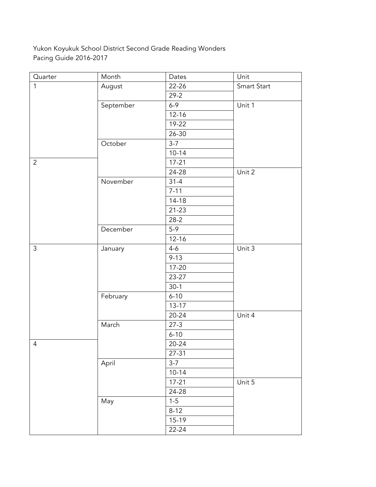Yukon Koyukuk School District Second Grade Reading Wonders Pacing Guide 2016-2017

| Quarter        | Month     | Dates     | Unit        |  |
|----------------|-----------|-----------|-------------|--|
| $\mathbf{1}$   | August    | $22 - 26$ | Smart Start |  |
|                |           | $29 - 2$  |             |  |
|                | September | $6 - 9$   | Unit 1      |  |
|                |           | $12 - 16$ |             |  |
|                |           | $19-22$   |             |  |
|                |           | 26-30     |             |  |
|                | October   | $3 - 7$   |             |  |
|                |           | $10 - 14$ |             |  |
| $\overline{2}$ |           | $17 - 21$ |             |  |
|                |           | 24-28     | Unit 2      |  |
|                | November  | $31 - 4$  |             |  |
|                |           | $7 - 11$  |             |  |
|                |           | $14 - 18$ |             |  |
|                |           | $21 - 23$ |             |  |
|                |           | $28-2$    |             |  |
|                | December  | $5-9$     |             |  |
|                |           | $12 - 16$ |             |  |
| $\mathfrak{Z}$ | January   | $4 - 6$   | Unit $3$    |  |
|                |           | $9 - 13$  |             |  |
|                |           | $17 - 20$ |             |  |
|                |           | 23-27     |             |  |
|                |           | $30-1$    |             |  |
|                | February  | $6 - 10$  |             |  |
|                |           | $13 - 17$ |             |  |
|                |           | $20 - 24$ | Unit 4      |  |
|                | March     | $27-3$    |             |  |
|                |           | $6 - 10$  |             |  |
| $\overline{4}$ |           | $20 - 24$ |             |  |
|                |           | $27 - 31$ |             |  |
|                | April     | $3-7$     |             |  |
|                |           | $10 - 14$ |             |  |
|                |           | $17 - 21$ | Unit 5      |  |
|                |           | 24-28     |             |  |
|                | May       | $1 - 5$   |             |  |
|                |           | $8 - 12$  |             |  |
|                |           | $15-19$   |             |  |
|                |           | $22 - 24$ |             |  |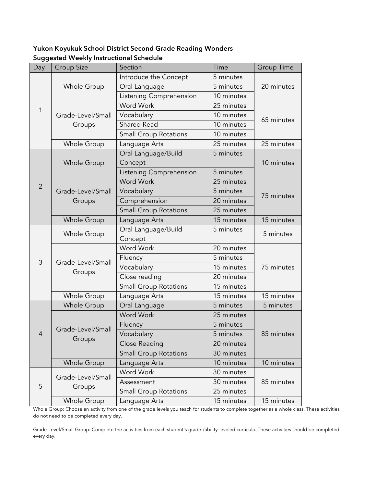### **Yukon Koyukuk School District Second Grade Reading Wonders Suggested Weekly Instructional Schedule**

| Day            | <b>Group Size</b>           | Section                      | Time       | <b>Group Time</b> |  |
|----------------|-----------------------------|------------------------------|------------|-------------------|--|
|                |                             | Introduce the Concept        | 5 minutes  |                   |  |
|                | Whole Group                 | Oral Language                | 5 minutes  | 20 minutes        |  |
|                |                             | Listening Comprehension      | 10 minutes |                   |  |
| $\mathbf{1}$   |                             | Word Work                    | 25 minutes |                   |  |
|                | Grade-Level/Small           | Vocabulary                   | 10 minutes |                   |  |
|                | Groups                      | <b>Shared Read</b>           | 10 minutes | 65 minutes        |  |
|                |                             | <b>Small Group Rotations</b> | 10 minutes |                   |  |
|                | Whole Group                 | Language Arts                | 25 minutes | 25 minutes        |  |
|                |                             | Oral Language/Build          | 5 minutes  |                   |  |
|                | Whole Group                 | Concept                      |            | 10 minutes        |  |
|                |                             | Listening Comprehension      | 5 minutes  |                   |  |
| $\overline{2}$ |                             | <b>Word Work</b>             | 25 minutes |                   |  |
|                | Grade-Level/Small           | Vocabulary                   | 5 minutes  | 75 minutes        |  |
|                | Groups                      | Comprehension                | 20 minutes |                   |  |
|                |                             | <b>Small Group Rotations</b> | 25 minutes |                   |  |
|                | Whole Group                 | Language Arts                | 15 minutes | 15 minutes        |  |
|                | Whole Group                 | Oral Language/Build          | 5 minutes  | 5 minutes         |  |
|                |                             | Concept                      |            |                   |  |
|                | Grade-Level/Small<br>Groups | Word Work                    | 20 minutes | 75 minutes        |  |
| 3              |                             | Fluency                      | 5 minutes  |                   |  |
|                |                             | Vocabulary                   | 15 minutes |                   |  |
|                |                             | Close reading                | 20 minutes |                   |  |
|                |                             | <b>Small Group Rotations</b> | 15 minutes |                   |  |
|                | Whole Group                 | Language Arts                | 15 minutes | 15 minutes        |  |
|                | <b>Whole Group</b>          | Oral Language                | 5 minutes  | 5 minutes         |  |
|                |                             | Word Work                    | 25 minutes |                   |  |
|                | Grade-Level/Small           | Fluency                      | 5 minutes  |                   |  |
| $\overline{4}$ |                             | Vocabulary                   | 5 minutes  | 85 minutes        |  |
|                | Groups                      | Close Reading                | 20 minutes |                   |  |
|                |                             | <b>Small Group Rotations</b> | 30 minutes |                   |  |
|                | Whole Group                 | Language Arts                | 10 minutes | 10 minutes        |  |
|                | Grade-Level/Small           | Word Work                    | 30 minutes |                   |  |
| 5              |                             | Assessment                   | 30 minutes | 85 minutes        |  |
|                | Groups                      | <b>Small Group Rotations</b> | 25 minutes |                   |  |
|                | Whole Group                 | Language Arts                | 15 minutes | 15 minutes        |  |

Whole Group: Choose an activity from one of the grade levels you teach for students to complete together as a whole class. These activities do not need to be completed every day.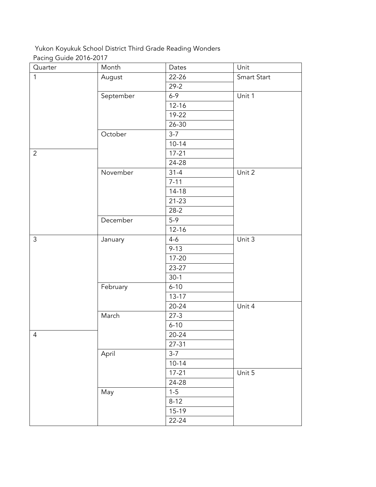## Yukon Koyukuk School District Third Grade Reading Wonders Pacing Guide 2016-2017

| Quarter        | Month     | Dates     | Unit        |
|----------------|-----------|-----------|-------------|
| $\mathbf{1}$   | August    | 22-26     | Smart Start |
|                |           | $29 - 2$  |             |
|                | September | $6 - 9$   | Unit 1      |
|                |           | $12 - 16$ |             |
|                |           | 19-22     |             |
|                |           | 26-30     |             |
|                | October   | $3 - 7$   |             |
|                |           | $10 - 14$ |             |
| $\overline{2}$ |           | $17 - 21$ |             |
|                |           | 24-28     |             |
|                | November  | $31 - 4$  | Unit 2      |
|                |           | $7 - 11$  |             |
|                |           | $14 - 18$ |             |
|                |           | $21 - 23$ |             |
|                |           | $28 - 2$  |             |
|                | December  | $5-9$     |             |
|                |           | $12 - 16$ |             |
| $\mathfrak{Z}$ | January   | $4 - 6$   | Unit 3      |
|                |           | $9 - 13$  |             |
|                |           | $17 - 20$ |             |
|                |           | 23-27     |             |
|                |           | $30-1$    |             |
|                | February  | $6 - 10$  |             |
|                |           | $13 - 17$ |             |
|                |           | $20 - 24$ | Unit 4      |
|                | March     | $27-3$    |             |
|                |           | $6 - 10$  |             |
| $\overline{4}$ |           | $20 - 24$ |             |
|                |           | $27 - 31$ |             |
|                | April     | $3-7$     |             |
|                |           | $10 - 14$ |             |
|                |           | $17 - 21$ | Unit 5      |
|                |           | 24-28     |             |
|                | May       | $1 - 5$   |             |
|                |           | $8 - 12$  |             |
|                |           | 15-19     |             |
|                |           | 22-24     |             |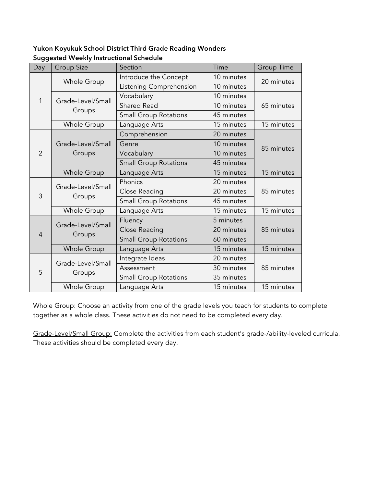### **Yukon Koyukuk School District Third Grade Reading Wonders Suggested Weekly Instructional Schedule**

| Day            | <b>Group Size</b>           | Section                      | Time       | <b>Group Time</b> |  |
|----------------|-----------------------------|------------------------------|------------|-------------------|--|
|                |                             | Introduce the Concept        | 10 minutes | 20 minutes        |  |
|                | Whole Group                 | Listening Comprehension      | 10 minutes |                   |  |
| 1              | Grade-Level/Small           | Vocabulary                   | 10 minutes |                   |  |
|                |                             | <b>Shared Read</b>           | 10 minutes | 65 minutes        |  |
|                | Groups                      | <b>Small Group Rotations</b> | 45 minutes |                   |  |
|                | Whole Group                 | Language Arts                | 15 minutes | 15 minutes        |  |
|                |                             | Comprehension                | 20 minutes |                   |  |
|                | Grade-Level/Small           | Genre                        | 10 minutes |                   |  |
| $\overline{2}$ | Groups                      | Vocabulary                   | 10 minutes | 85 minutes        |  |
|                |                             | <b>Small Group Rotations</b> | 45 minutes |                   |  |
|                | <b>Whole Group</b>          | Language Arts                | 15 minutes | 15 minutes        |  |
|                | Grade-Level/Small<br>Groups | Phonics                      | 20 minutes |                   |  |
| 3              |                             | Close Reading                | 20 minutes | 85 minutes        |  |
|                |                             | <b>Small Group Rotations</b> | 45 minutes |                   |  |
|                | Whole Group                 | Language Arts                | 15 minutes | 15 minutes        |  |
|                | Grade-Level/Small           | Fluency                      | 5 minutes  |                   |  |
| $\overline{4}$ |                             | Close Reading                | 20 minutes | 85 minutes        |  |
|                | Groups                      | <b>Small Group Rotations</b> | 60 minutes |                   |  |
|                | Whole Group                 | Language Arts                | 15 minutes | 15 minutes        |  |
|                | Grade-Level/Small           | Integrate Ideas              | 20 minutes |                   |  |
| 5              |                             | Assessment                   | 30 minutes | 85 minutes        |  |
|                | Groups                      | <b>Small Group Rotations</b> | 35 minutes |                   |  |
|                | Whole Group                 | Language Arts                | 15 minutes | 15 minutes        |  |

Whole Group: Choose an activity from one of the grade levels you teach for students to complete together as a whole class. These activities do not need to be completed every day.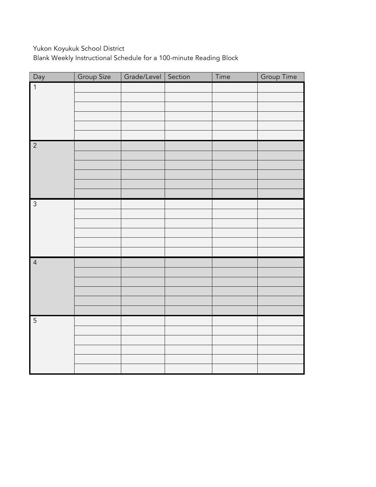Yukon Koyukuk School District

Blank Weekly Instructional Schedule for a 100-minute Reading Block

| Day            | Group Size | Grade/Level Section | Time | Group Time |
|----------------|------------|---------------------|------|------------|
| $\overline{1}$ |            |                     |      |            |
|                |            |                     |      |            |
|                |            |                     |      |            |
|                |            |                     |      |            |
|                |            |                     |      |            |
|                |            |                     |      |            |
| $\overline{2}$ |            |                     |      |            |
|                |            |                     |      |            |
|                |            |                     |      |            |
|                |            |                     |      |            |
|                |            |                     |      |            |
|                |            |                     |      |            |
| $\overline{3}$ |            |                     |      |            |
|                |            |                     |      |            |
|                |            |                     |      |            |
|                |            |                     |      |            |
|                |            |                     |      |            |
|                |            |                     |      |            |
| $\overline{4}$ |            |                     |      |            |
|                |            |                     |      |            |
|                |            |                     |      |            |
|                |            |                     |      |            |
|                |            |                     |      |            |
|                |            |                     |      |            |
| $\overline{5}$ |            |                     |      |            |
|                |            |                     |      |            |
|                |            |                     |      |            |
|                |            |                     |      |            |
|                |            |                     |      |            |
|                |            |                     |      |            |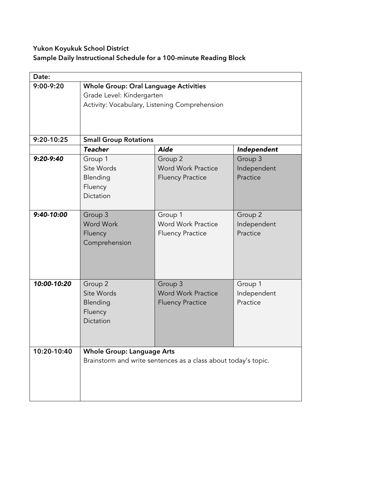# **Yukon Koyukuk School District**

### **Sample Daily Instructional Schedule for a 100-minute Reading Block**

| Date:        |                                                                                                                            |                                                                 |                                    |  |
|--------------|----------------------------------------------------------------------------------------------------------------------------|-----------------------------------------------------------------|------------------------------------|--|
| $9:00-9:20$  | <b>Whole Group: Oral Language Activities</b><br>Grade Level: Kindergarten<br>Activity: Vocabulary, Listening Comprehension |                                                                 |                                    |  |
| 9:20-10:25   | <b>Small Group Rotations</b>                                                                                               |                                                                 |                                    |  |
|              | <b>Teacher</b>                                                                                                             | <b>Aide</b>                                                     | Independent                        |  |
| $9:20-9:40$  | Group 1<br>Site Words<br>Blending<br>Fluency<br>Dictation                                                                  | Group 2<br><b>Word Work Practice</b><br><b>Fluency Practice</b> | Group 3<br>Independent<br>Practice |  |
| $9:40-10:00$ | Group 3<br><b>Word Work</b><br>Fluency<br>Comprehension                                                                    | Group 1<br><b>Word Work Practice</b><br><b>Fluency Practice</b> | Group 2<br>Independent<br>Practice |  |
| 10:00-10:20  | Group 2<br>Site Words<br>Blending<br>Fluency<br>Dictation                                                                  | Group 3<br><b>Word Work Practice</b><br><b>Fluency Practice</b> | Group 1<br>Independent<br>Practice |  |
| 10:20-10:40  | <b>Whole Group: Language Arts</b>                                                                                          | Brainstorm and write sentences as a class about today's topic.  |                                    |  |